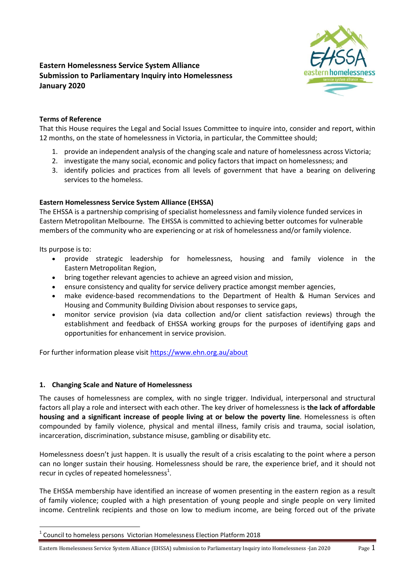# **Eastern Homelessness Service System Alliance Submission to Parliamentary Inquiry into Homelessness January 2020**



# **Terms of Reference**

That this House requires the Legal and Social Issues Committee to inquire into, consider and report, within 12 months, on the state of homelessness in Victoria, in particular, the Committee should;

- 1. provide an independent analysis of the changing scale and nature of homelessness across Victoria;
- 2. investigate the many social, economic and policy factors that impact on homelessness; and
- 3. identify policies and practices from all levels of government that have a bearing on delivering services to the homeless.

# **Eastern Homelessness Service System Alliance (EHSSA)**

The EHSSA is a partnership comprising of specialist homelessness and family violence funded services in Eastern Metropolitan Melbourne. The EHSSA is committed to achieving better outcomes for vulnerable members of the community who are experiencing or at risk of homelessness and/or family violence.

Its purpose is to:

- provide strategic leadership for homelessness, housing and family violence in the Eastern Metropolitan Region,
- bring together relevant agencies to achieve an agreed vision and mission,
- ensure consistency and quality for service delivery practice amongst member agencies,
- make evidence-based recommendations to the Department of Health & Human Services and Housing and Community Building Division about responses to service gaps,
- monitor service provision (via data collection and/or client satisfaction reviews) through the establishment and feedback of EHSSA working groups for the purposes of identifying gaps and opportunities for enhancement in service provision.

For further information please visi[t https://www.ehn.org.au/about](https://www.ehn.org.au/about)

### **1. Changing Scale and Nature of Homelessness**

The causes of homelessness are complex, with no single trigger. Individual, interpersonal and structural factors all play a role and intersect with each other. The key driver of homelessness is **the lack of affordable housing and a significant increase of people living at or below the poverty line**. Homelessness is often compounded by family violence, physical and mental illness, family crisis and trauma, social isolation, incarceration, discrimination, substance misuse, gambling or disability etc.

Homelessness doesn't just happen. It is usually the result of a crisis escalating to the point where a person can no longer sustain their housing. Homelessness should be rare, the experience brief, and it should not recur in cycles of repeated homelessness $^1$ .

The EHSSA membership have identified an increase of women presenting in the eastern region as a result of family violence; coupled with a high presentation of young people and single people on very limited income. Centrelink recipients and those on low to medium income, are being forced out of the private

<sup>1</sup> Council to homeless persons Victorian Homelessness Election Platform 2018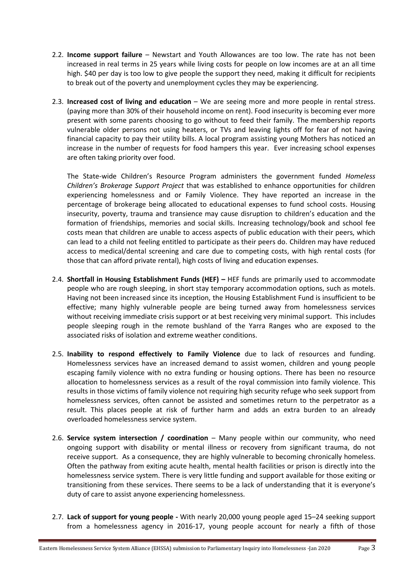- 2.2. **Income support failure**  Newstart and Youth Allowances are too low. The rate has not been increased in real terms in 25 years while living costs for people on low incomes are at an all time high. \$40 per day is too low to give people the support they need, making it difficult for recipients to break out of the poverty and unemployment cycles they may be experiencing.
- 2.3. **Increased cost of living and education** We are seeing more and more people in rental stress. (paying more than 30% of their household income on rent). Food insecurity is becoming ever more present with some parents choosing to go without to feed their family. The membership reports vulnerable older persons not using heaters, or TVs and leaving lights off for fear of not having financial capacity to pay their utility bills. A local program assisting young Mothers has noticed an increase in the number of requests for food hampers this year. Ever increasing school expenses are often taking priority over food.

The State-wide Children's Resource Program administers the government funded *Homeless Children's Brokerage Support Project* that was established to enhance opportunities for children experiencing homelessness and or Family Violence. They have reported an increase in the percentage of brokerage being allocated to educational expenses to fund school costs. Housing insecurity, poverty, trauma and transience may cause disruption to children's education and the formation of friendships, memories and social skills. Increasing technology/book and school fee costs mean that children are unable to access aspects of public education with their peers, which can lead to a child not feeling entitled to participate as their peers do. Children may have reduced access to medical/dental screening and care due to competing costs, with high rental costs (for those that can afford private rental), high costs of living and education expenses.

- 2.4. **Shortfall in Housing Establishment Funds (HEF) –** HEF funds are primarily used to accommodate people who are rough sleeping, in short stay temporary accommodation options, such as motels. Having not been increased since its inception, the Housing Establishment Fund is insufficient to be effective; many highly vulnerable people are being turned away from homelessness services without receiving immediate crisis support or at best receiving very minimal support. This includes people sleeping rough in the remote bushland of the Yarra Ranges who are exposed to the associated risks of isolation and extreme weather conditions.
- 2.5. **Inability to respond effectively to Family Violence** due to lack of resources and funding. Homelessness services have an increased demand to assist women, children and young people escaping family violence with no extra funding or housing options. There has been no resource allocation to homelessness services as a result of the royal commission into family violence. This results in those victims of family violence not requiring high security refuge who seek support from homelessness services, often cannot be assisted and sometimes return to the perpetrator as a result. This places people at risk of further harm and adds an extra burden to an already overloaded homelessness service system.
- 2.6. **Service system intersection / coordination** Many people within our community, who need ongoing support with disability or mental illness or recovery from significant trauma, do not receive support. As a consequence, they are highly vulnerable to becoming chronically homeless. Often the pathway from exiting acute health, mental health facilities or prison is directly into the homelessness service system. There is very little funding and support available for those exiting or transitioning from these services. There seems to be a lack of understanding that it is everyone's duty of care to assist anyone experiencing homelessness.
- 2.7. **Lack of support for young people** With nearly 20,000 young people aged 15–24 seeking support from a homelessness agency in 2016-17, young people account for nearly a fifth of those